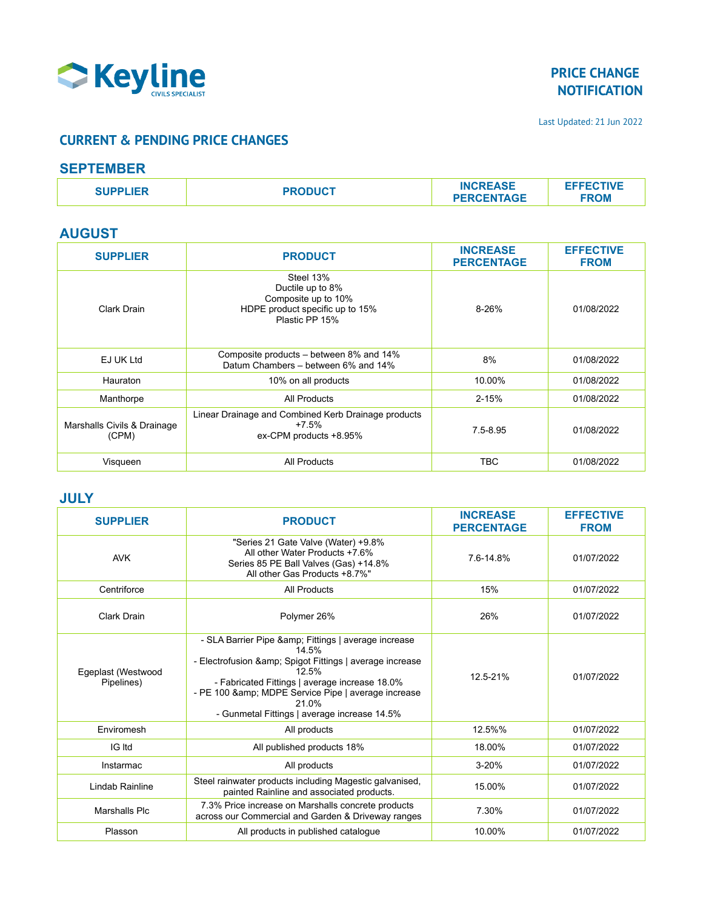

Last Updated: 21 Jun 2022

### **CURRENT & PENDING PRICE CHANGES**

#### **SEPTEMBER**

| <b>SUPPLIER</b> | <b>PRODUCT</b> | <b>INCREASE</b>   | <b>EFFECTIVE</b> |
|-----------------|----------------|-------------------|------------------|
|                 |                | <b>PERCENTAGE</b> | <b>FROM</b>      |

### **AUGUST**

| <b>SUPPLIER</b>                      | <b>PRODUCT</b>                                                                                            | <b>INCREASE</b><br><b>PERCENTAGE</b> | <b>EFFECTIVE</b><br><b>FROM</b> |
|--------------------------------------|-----------------------------------------------------------------------------------------------------------|--------------------------------------|---------------------------------|
| Clark Drain                          | Steel 13%<br>Ductile up to 8%<br>Composite up to 10%<br>HDPE product specific up to 15%<br>Plastic PP 15% | $8 - 26%$                            | 01/08/2022                      |
| EJ UK Ltd                            | Composite products – between 8% and 14%<br>Datum Chambers - between 6% and 14%                            | 8%                                   | 01/08/2022                      |
| Hauraton                             | 10% on all products                                                                                       | 10.00%                               | 01/08/2022                      |
| Manthorpe                            | All Products                                                                                              | $2 - 15%$                            | 01/08/2022                      |
| Marshalls Civils & Drainage<br>(CPM) | Linear Drainage and Combined Kerb Drainage products<br>$+7.5\%$<br>ex-CPM products +8.95%                 | $7.5 - 8.95$                         | 01/08/2022                      |
| Visqueen                             | All Products                                                                                              | <b>TBC</b>                           | 01/08/2022                      |

#### **JULY**

| <b>SUPPLIER</b>                  | <b>PRODUCT</b>                                                                                                                                                                                                                                                                           | <b>INCREASE</b><br><b>PERCENTAGE</b> | <b>EFFECTIVE</b><br><b>FROM</b> |
|----------------------------------|------------------------------------------------------------------------------------------------------------------------------------------------------------------------------------------------------------------------------------------------------------------------------------------|--------------------------------------|---------------------------------|
| <b>AVK</b>                       | "Series 21 Gate Valve (Water) +9.8%<br>All other Water Products +7.6%<br>Series 85 PE Ball Valves (Gas) +14.8%<br>All other Gas Products +8.7%"                                                                                                                                          | 7.6-14.8%                            | 01/07/2022                      |
| Centriforce                      | <b>All Products</b>                                                                                                                                                                                                                                                                      | 15%                                  | 01/07/2022                      |
| Clark Drain                      | Polymer 26%                                                                                                                                                                                                                                                                              | 26%                                  | 01/07/2022                      |
| Egeplast (Westwood<br>Pipelines) | - SLA Barrier Pipe & Fittings   average increase<br>14.5%<br>- Electrofusion & Spigot Fittings   average increase<br>12.5%<br>- Fabricated Fittings   average increase 18.0%<br>- PE 100 & MDPE Service Pipe   average increase<br>21.0%<br>- Gunmetal Fittings   average increase 14.5% | 12.5-21%                             | 01/07/2022                      |
| Enviromesh                       | All products                                                                                                                                                                                                                                                                             | 12.5%%                               | 01/07/2022                      |
| IG Itd                           | All published products 18%                                                                                                                                                                                                                                                               | 18.00%                               | 01/07/2022                      |
| Instarmac                        | All products                                                                                                                                                                                                                                                                             | $3 - 20%$                            | 01/07/2022                      |
| Lindab Rainline                  | Steel rainwater products including Magestic galvanised,<br>painted Rainline and associated products.                                                                                                                                                                                     | 15.00%                               | 01/07/2022                      |
| Marshalls Plc                    | 7.3% Price increase on Marshalls concrete products<br>across our Commercial and Garden & Driveway ranges                                                                                                                                                                                 | 7.30%                                | 01/07/2022                      |
| Plasson                          | All products in published catalogue                                                                                                                                                                                                                                                      | 10.00%                               | 01/07/2022                      |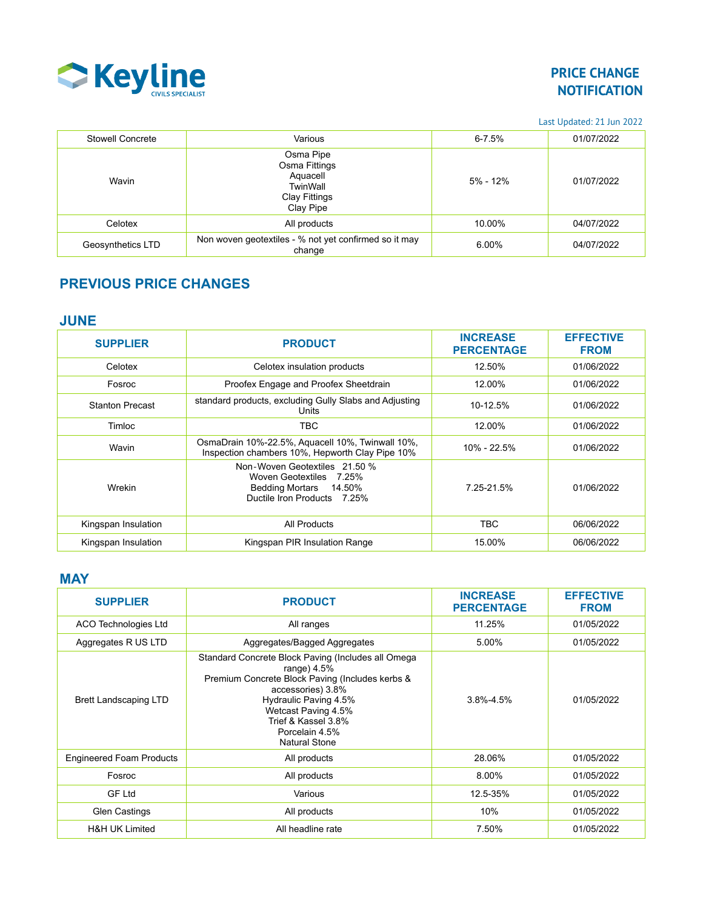

Last Updated: 21 Jun 2022

| Stowell Concrete  | Various                                                                          | $6 - 7.5%$   | 01/07/2022 |
|-------------------|----------------------------------------------------------------------------------|--------------|------------|
| Wavin             | Osma Pipe<br>Osma Fittings<br>Aquacell<br>TwinWall<br>Clay Fittings<br>Clay Pipe | $5\% - 12\%$ | 01/07/2022 |
| Celotex           | All products                                                                     | 10.00%       | 04/07/2022 |
| Geosynthetics LTD | Non woven geotextiles - % not yet confirmed so it may<br>change                  | 6.00%        | 04/07/2022 |

# **PREVIOUS PRICE CHANGES**

### **JUNE**

| <b>SUPPLIER</b>        | <b>PRODUCT</b>                                                                                                    | <b>INCREASE</b><br><b>PERCENTAGE</b> | <b>EFFECTIVE</b><br><b>FROM</b> |
|------------------------|-------------------------------------------------------------------------------------------------------------------|--------------------------------------|---------------------------------|
| Celotex                | Celotex insulation products                                                                                       | 12.50%                               | 01/06/2022                      |
| Fosroc                 | Proofex Engage and Proofex Sheetdrain                                                                             | 12.00%                               | 01/06/2022                      |
| <b>Stanton Precast</b> | standard products, excluding Gully Slabs and Adjusting<br>Units                                                   | 10-12.5%                             | 01/06/2022                      |
| Timloc                 | <b>TBC</b>                                                                                                        | 12.00%                               | 01/06/2022                      |
| Wavin                  | OsmaDrain 10%-22.5%, Aquacell 10%, Twinwall 10%,<br>Inspection chambers 10%, Hepworth Clay Pipe 10%               | 10% - 22.5%                          | 01/06/2022                      |
| Wrekin                 | Non-Woven Geotextiles 21.50 %<br>Woven Geotextiles 7.25%<br>Bedding Mortars 14.50%<br>Ductile Iron Products 7.25% | 7.25-21.5%                           | 01/06/2022                      |
| Kingspan Insulation    | All Products                                                                                                      | TBC.                                 | 06/06/2022                      |
| Kingspan Insulation    | Kingspan PIR Insulation Range                                                                                     | 15.00%                               | 06/06/2022                      |

#### **MAY**

| <b>SUPPLIER</b>                 | <b>PRODUCT</b>                                                                                                                                                                                                                                               | <b>INCREASE</b><br><b>PERCENTAGE</b> | <b>EFFECTIVE</b><br><b>FROM</b> |
|---------------------------------|--------------------------------------------------------------------------------------------------------------------------------------------------------------------------------------------------------------------------------------------------------------|--------------------------------------|---------------------------------|
| <b>ACO Technologies Ltd</b>     | All ranges                                                                                                                                                                                                                                                   | 11.25%                               | 01/05/2022                      |
| Aggregates R US LTD             | Aggregates/Bagged Aggregates                                                                                                                                                                                                                                 | 5.00%                                | 01/05/2022                      |
| <b>Brett Landscaping LTD</b>    | Standard Concrete Block Paving (Includes all Omega<br>range) $4.5%$<br>Premium Concrete Block Paving (Includes kerbs &<br>accessories) 3.8%<br>Hydraulic Paving 4.5%<br>Wetcast Paving 4.5%<br>Trief & Kassel 3.8%<br>Porcelain 4.5%<br><b>Natural Stone</b> | $3.8\% - 4.5\%$                      | 01/05/2022                      |
| <b>Engineered Foam Products</b> | All products                                                                                                                                                                                                                                                 | 28.06%                               | 01/05/2022                      |
| Fosroc                          | All products                                                                                                                                                                                                                                                 | 8.00%                                | 01/05/2022                      |
| <b>GF Ltd</b>                   | Various                                                                                                                                                                                                                                                      | 12.5-35%                             | 01/05/2022                      |
| <b>Glen Castings</b>            | All products                                                                                                                                                                                                                                                 | 10%                                  | 01/05/2022                      |
| <b>H&amp;H UK Limited</b>       | All headline rate                                                                                                                                                                                                                                            | 7.50%                                | 01/05/2022                      |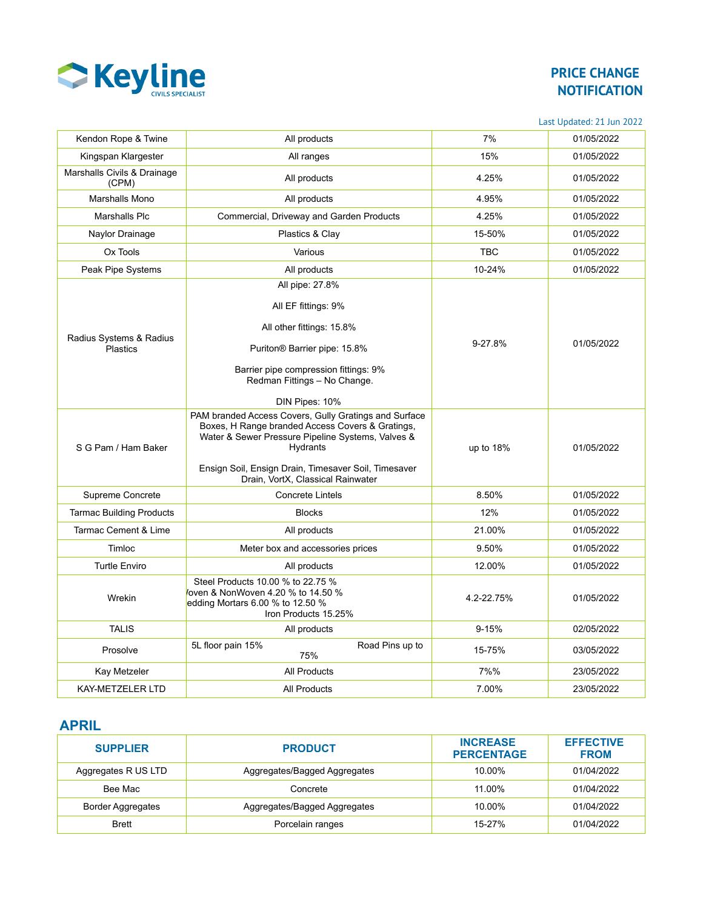

Last Updated: 21 Jun 2022

| Kendon Rope & Twine                        | All products                                                                                                                                                                                                                                                            | 7%         | 01/05/2022 |
|--------------------------------------------|-------------------------------------------------------------------------------------------------------------------------------------------------------------------------------------------------------------------------------------------------------------------------|------------|------------|
| Kingspan Klargester                        | All ranges                                                                                                                                                                                                                                                              | 15%        | 01/05/2022 |
| Marshalls Civils & Drainage<br>(CPM)       | All products                                                                                                                                                                                                                                                            | 4.25%      | 01/05/2022 |
| Marshalls Mono                             | All products                                                                                                                                                                                                                                                            | 4.95%      | 01/05/2022 |
| Marshalls Plc                              | Commercial, Driveway and Garden Products                                                                                                                                                                                                                                | 4.25%      | 01/05/2022 |
| Naylor Drainage                            | Plastics & Clay                                                                                                                                                                                                                                                         | 15-50%     | 01/05/2022 |
| Ox Tools                                   | Various                                                                                                                                                                                                                                                                 | <b>TBC</b> | 01/05/2022 |
| Peak Pipe Systems                          | All products                                                                                                                                                                                                                                                            | 10-24%     | 01/05/2022 |
|                                            | All pipe: 27.8%                                                                                                                                                                                                                                                         |            |            |
| Radius Systems & Radius<br><b>Plastics</b> | All EF fittings: 9%<br>All other fittings: 15.8%<br>Puriton® Barrier pipe: 15.8%<br>Barrier pipe compression fittings: 9%<br>Redman Fittings - No Change.<br>DIN Pipes: 10%                                                                                             | 9-27.8%    | 01/05/2022 |
| S G Pam / Ham Baker                        | PAM branded Access Covers, Gully Gratings and Surface<br>Boxes, H Range branded Access Covers & Gratings,<br>Water & Sewer Pressure Pipeline Systems, Valves &<br>Hydrants<br>Ensign Soil, Ensign Drain, Timesaver Soil, Timesaver<br>Drain, VortX, Classical Rainwater | up to 18%  | 01/05/2022 |
| Supreme Concrete                           | <b>Concrete Lintels</b>                                                                                                                                                                                                                                                 | 8.50%      | 01/05/2022 |
| <b>Tarmac Building Products</b>            | <b>Blocks</b>                                                                                                                                                                                                                                                           | 12%        | 01/05/2022 |
| Tarmac Cement & Lime                       | All products                                                                                                                                                                                                                                                            | 21.00%     | 01/05/2022 |
| Timloc                                     | Meter box and accessories prices                                                                                                                                                                                                                                        | 9.50%      | 01/05/2022 |
| <b>Turtle Enviro</b>                       | All products                                                                                                                                                                                                                                                            | 12.00%     | 01/05/2022 |
| Wrekin                                     | Steel Products 10.00 % to 22.75 %<br>oven & NonWoven 4.20 % to 14.50 %<br>edding Mortars 6.00 % to 12.50 %<br>Iron Products 15.25%                                                                                                                                      | 4.2-22.75% | 01/05/2022 |
| <b>TALIS</b>                               | All products                                                                                                                                                                                                                                                            | $9 - 15%$  | 02/05/2022 |
| Prosolve                                   | Road Pins up to<br>5L floor pain 15%<br>75%                                                                                                                                                                                                                             | 15-75%     | 03/05/2022 |
| Kay Metzeler                               | <b>All Products</b>                                                                                                                                                                                                                                                     | 7%%        | 23/05/2022 |
| <b>KAY-METZELER LTD</b>                    | <b>All Products</b>                                                                                                                                                                                                                                                     | 7.00%      | 23/05/2022 |

### **APRIL**

| <b>SUPPLIER</b>          | <b>PRODUCT</b>               | <b>INCREASE</b><br><b>PERCENTAGE</b> | <b>EFFECTIVE</b><br><b>FROM</b> |
|--------------------------|------------------------------|--------------------------------------|---------------------------------|
| Aggregates R US LTD      | Aggregates/Bagged Aggregates | 10.00%                               | 01/04/2022                      |
| Bee Mac                  | Concrete                     | 11.00%                               | 01/04/2022                      |
| <b>Border Aggregates</b> | Aggregates/Bagged Aggregates | 10.00%                               | 01/04/2022                      |
| <b>Brett</b>             | Porcelain ranges             | 15-27%                               | 01/04/2022                      |